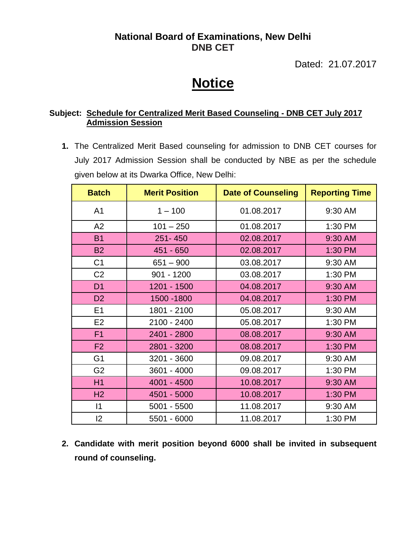## **National Board of Examinations, New Delhi DNB CET**

Dated: 21.07.2017

## **Notice**

## **Subject: Schedule for Centralized Merit Based Counseling - DNB CET July 2017 Admission Session**

**1.** The Centralized Merit Based counseling for admission to DNB CET courses for July 2017 Admission Session shall be conducted by NBE as per the schedule given below at its Dwarka Office, New Delhi:

| <b>Batch</b>   | <b>Merit Position</b> | <b>Date of Counseling</b> | <b>Reporting Time</b> |
|----------------|-----------------------|---------------------------|-----------------------|
| A <sub>1</sub> | $1 - 100$             | 01.08.2017                | 9:30 AM               |
| A2             | $101 - 250$           | 01.08.2017                | 1:30 PM               |
| <b>B1</b>      | 251-450               | 02.08.2017                | 9:30 AM               |
| <b>B2</b>      | 451 - 650             | 02.08.2017                | 1:30 PM               |
| C <sub>1</sub> | $651 - 900$           | 03.08.2017                | 9:30 AM               |
| C <sub>2</sub> | $901 - 1200$          | 03.08.2017                | 1:30 PM               |
| D <sub>1</sub> | 1201 - 1500           | 04.08.2017                | 9:30 AM               |
| D <sub>2</sub> | 1500 - 1800           | 04.08.2017                | 1:30 PM               |
| E1             | 1801 - 2100           | 05.08.2017                | 9:30 AM               |
| E <sub>2</sub> | 2100 - 2400           | 05.08.2017                | 1:30 PM               |
| F <sub>1</sub> | 2401 - 2800           | 08.08.2017                | 9:30 AM               |
| F2             | 2801 - 3200           | 08.08.2017                | 1:30 PM               |
| G <sub>1</sub> | 3201 - 3600           | 09.08.2017                | 9:30 AM               |
| G <sub>2</sub> | 3601 - 4000           | 09.08.2017                | 1:30 PM               |
| H1             | 4001 - 4500           | 10.08.2017                | 9:30 AM               |
| H <sub>2</sub> | 4501 - 5000           | 10.08.2017                | 1:30 PM               |
| $\vert$ 1      | $5001 - 5500$         | 11.08.2017                | 9:30 AM               |
| 2              | 5501 - 6000           | 11.08.2017                | 1:30 PM               |

**2. Candidate with merit position beyond 6000 shall be invited in subsequent round of counseling.**